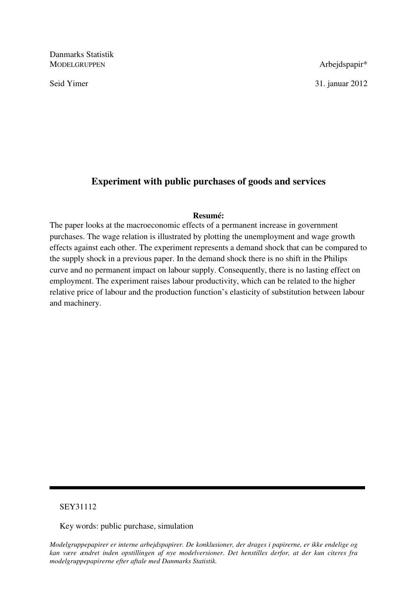Danmarks Statistik MODELGRUPPEN Arbejdspapir\*

Seid Yimer 31. januar 2012

# **Experiment with public purchases of goods and services**

# **Resumé:**

The paper looks at the macroeconomic effects of a permanent increase in government purchases. The wage relation is illustrated by plotting the unemployment and wage growth effects against each other. The experiment represents a demand shock that can be compared to the supply shock in a previous paper. In the demand shock there is no shift in the Philips curve and no permanent impact on labour supply. Consequently, there is no lasting effect on employment. The experiment raises labour productivity, which can be related to the higher relative price of labour and the production function's elasticity of substitution between labour and machinery.

# SEY31112

Key words: public purchase, simulation

*Modelgruppepapirer er interne arbejdspapirer. De konklusioner, der drages i papirerne, er ikke endelige og kan være ændret inden opstillingen af nye modelversioner. Det henstilles derfor, at der kun citeres fra modelgruppepapirerne efter aftale med Danmarks Statistik.*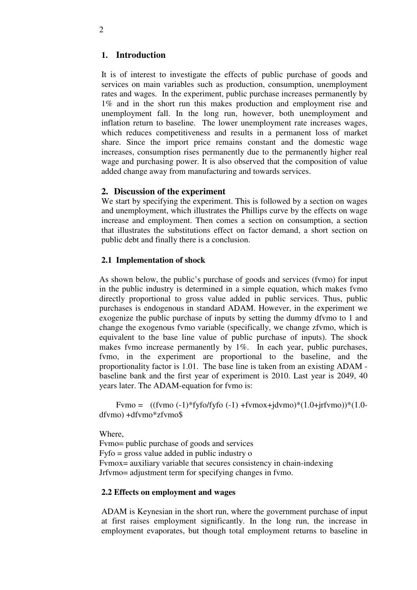# **1. Introduction**

It is of interest to investigate the effects of public purchase of goods and services on main variables such as production, consumption, unemployment rates and wages. In the experiment, public purchase increases permanently by 1% and in the short run this makes production and employment rise and unemployment fall. In the long run, however, both unemployment and inflation return to baseline. The lower unemployment rate increases wages, which reduces competitiveness and results in a permanent loss of market share. Since the import price remains constant and the domestic wage increases, consumption rises permanently due to the permanently higher real wage and purchasing power. It is also observed that the composition of value added change away from manufacturing and towards services.

#### **2. Discussion of the experiment**

We start by specifying the experiment. This is followed by a section on wages and unemployment, which illustrates the Phillips curve by the effects on wage increase and employment. Then comes a section on consumption, a section that illustrates the substitutions effect on factor demand, a short section on public debt and finally there is a conclusion.

#### **2.1 Implementation of shock**

As shown below, the public's purchase of goods and services (fvmo) for input in the public industry is determined in a simple equation, which makes fvmo directly proportional to gross value added in public services. Thus, public purchases is endogenous in standard ADAM. However, in the experiment we exogenize the public purchase of inputs by setting the dummy dfvmo to 1 and change the exogenous fvmo variable (specifically, we change zfvmo, which is equivalent to the base line value of public purchase of inputs). The shock makes fvmo increase permanently by 1%. In each year, public purchases, fvmo, in the experiment are proportional to the baseline, and the proportionality factor is 1.01. The base line is taken from an existing ADAM baseline bank and the first year of experiment is 2010. Last year is 2049, 40 years later. The ADAM-equation for fvmo is:

Fymo =  $((fvmo (-1) * f yfo/fyfo (-1) + f vmox + jdvmo) * (1.0 + jrfvmo)) * (1.0$ dfvmo) +dfvmo\*zfvmo\$

Where,

Fvmo= public purchase of goods and services Fyfo = gross value added in public industry o Fvmox= auxiliary variable that secures consistency in chain-indexing Jrfvmo= adjustment term for specifying changes in fvmo.

### **2.2 Effects on employment and wages**

ADAM is Keynesian in the short run, where the government purchase of input at first raises employment significantly. In the long run, the increase in employment evaporates, but though total employment returns to baseline in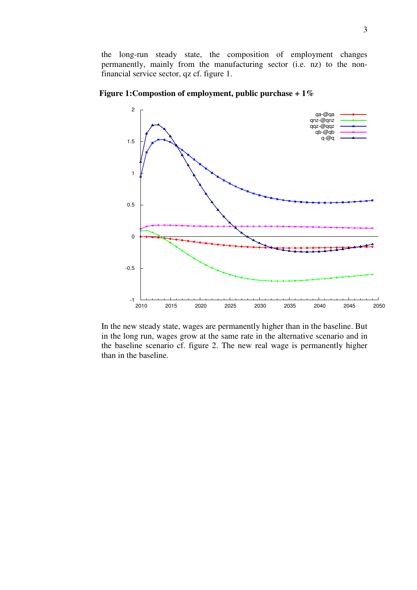the long-run steady state, the composition of employment changes permanently, mainly from the manufacturing sector (i.e. nz) to the nonfinancial service sector, qz cf. figure 1.



**Figure 1:Compostion of employment, public purchase + 1%**

In the new steady state, wages are permanently higher than in the baseline. But in the long run, wages grow at the same rate in the alternative scenario and in the baseline scenario cf. figure 2. The new real wage is permanently higher than in the baseline.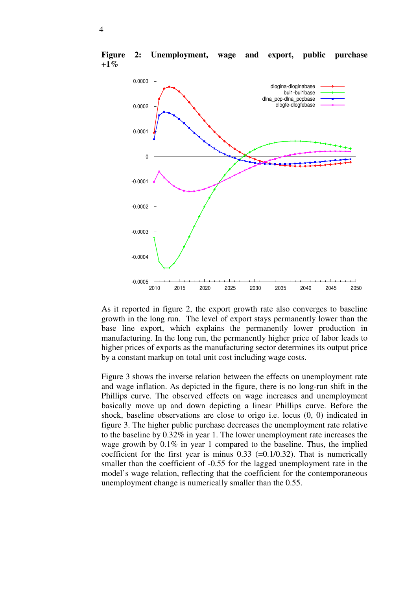

**Figure 2: Unemployment, wage and export, public purchase +1%**

As it reported in figure 2, the export growth rate also converges to baseline growth in the long run. The level of export stays permanently lower than the base line export, which explains the permanently lower production in manufacturing. In the long run, the permanently higher price of labor leads to higher prices of exports as the manufacturing sector determines its output price by a constant markup on total unit cost including wage costs.

Figure 3 shows the inverse relation between the effects on unemployment rate and wage inflation. As depicted in the figure, there is no long-run shift in the Phillips curve. The observed effects on wage increases and unemployment basically move up and down depicting a linear Phillips curve. Before the shock, baseline observations are close to origo i.e. locus (0, 0) indicated in figure 3. The higher public purchase decreases the unemployment rate relative to the baseline by 0.32% in year 1. The lower unemployment rate increases the wage growth by  $0.1\%$  in year 1 compared to the baseline. Thus, the implied coefficient for the first year is minus  $0.33$  (=0.1/0.32). That is numerically smaller than the coefficient of -0.55 for the lagged unemployment rate in the model's wage relation, reflecting that the coefficient for the contemporaneous unemployment change is numerically smaller than the 0.55.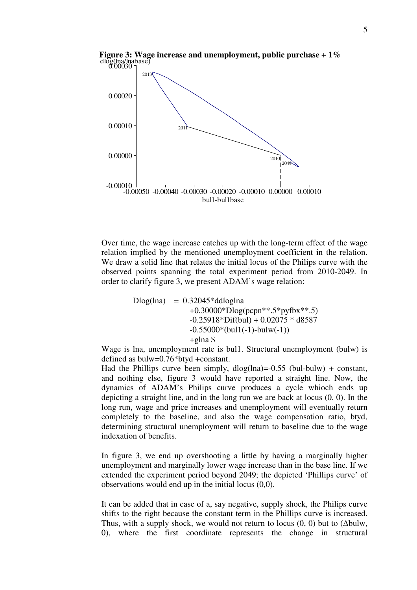

**Figure 3: Wage increase and unemployment, public purchase + 1%**

Over time, the wage increase catches up with the long-term effect of the wage relation implied by the mentioned unemployment coefficient in the relation. We draw a solid line that relates the initial locus of the Philips curve with the observed points spanning the total experiment period from 2010-2049. In order to clarify figure 3, we present ADAM's wage relation:

> $Dlog(lna) = 0.32045*ddloglna$  +0.30000\*Dlog(pcpn\*\*.5\*pyfbx\*\*.5)  $-0.25918 * \text{Diff(bul)} + 0.02075 * d8587$  $-0.55000*(bul1(-1)-bulw(-1))$ +glna \$

Wage is lna, unemployment rate is bul1. Structural unemployment (bulw) is defined as bulw=0.76\*btyd +constant.

Had the Phillips curve been simply,  $dlog(lna) = -0.55$  (bul-bulw) + constant, and nothing else, figure 3 would have reported a straight line. Now, the dynamics of ADAM's Philips curve produces a cycle whioch ends up depicting a straight line, and in the long run we are back at locus (0, 0). In the long run, wage and price increases and unemployment will eventually return completely to the baseline, and also the wage compensation ratio, btyd, determining structural unemployment will return to baseline due to the wage indexation of benefits.

In figure 3, we end up overshooting a little by having a marginally higher unemployment and marginally lower wage increase than in the base line. If we extended the experiment period beyond 2049; the depicted 'Phillips curve' of observations would end up in the initial locus (0,0).

It can be added that in case of a, say negative, supply shock, the Philips curve shifts to the right because the constant term in the Phillips curve is increased. Thus, with a supply shock, we would not return to locus  $(0, 0)$  but to  $(\Delta \text{bulw}, \Delta \text{olw})$ 0), where the first coordinate represents the change in structural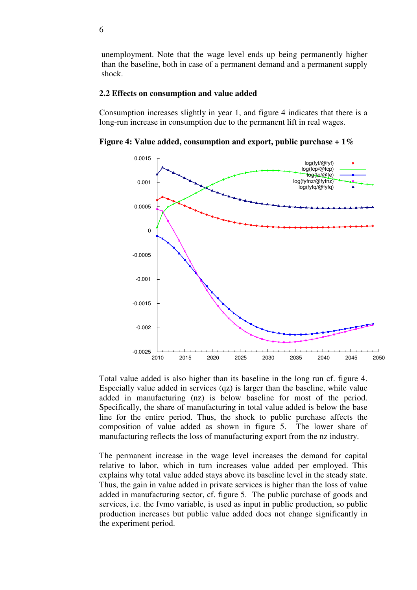unemployment. Note that the wage level ends up being permanently higher than the baseline, both in case of a permanent demand and a permanent supply shock.

#### **2.2 Effects on consumption and value added**

Consumption increases slightly in year 1, and figure 4 indicates that there is a long-run increase in consumption due to the permanent lift in real wages.

**Figure 4: Value added, consumption and export, public purchase + 1%**



Total value added is also higher than its baseline in the long run cf. figure 4. Especially value added in services (qz) is larger than the baseline, while value added in manufacturing (nz) is below baseline for most of the period. Specifically, the share of manufacturing in total value added is below the base line for the entire period. Thus, the shock to public purchase affects the composition of value added as shown in figure 5. The lower share of manufacturing reflects the loss of manufacturing export from the nz industry.

The permanent increase in the wage level increases the demand for capital relative to labor, which in turn increases value added per employed. This explains why total value added stays above its baseline level in the steady state. Thus, the gain in value added in private services is higher than the loss of value added in manufacturing sector, cf. figure 5. The public purchase of goods and services, i.e. the fvmo variable, is used as input in public production, so public production increases but public value added does not change significantly in the experiment period.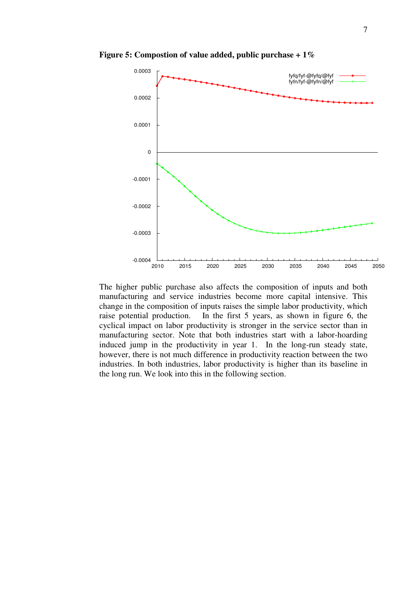

**Figure 5: Compostion of value added, public purchase + 1%** 

The higher public purchase also affects the composition of inputs and both manufacturing and service industries become more capital intensive. This change in the composition of inputs raises the simple labor productivity, which raise potential production. In the first 5 years, as shown in figure 6, the cyclical impact on labor productivity is stronger in the service sector than in manufacturing sector. Note that both industries start with a labor-hoarding induced jump in the productivity in year 1. In the long-run steady state, however, there is not much difference in productivity reaction between the two industries. In both industries, labor productivity is higher than its baseline in the long run. We look into this in the following section.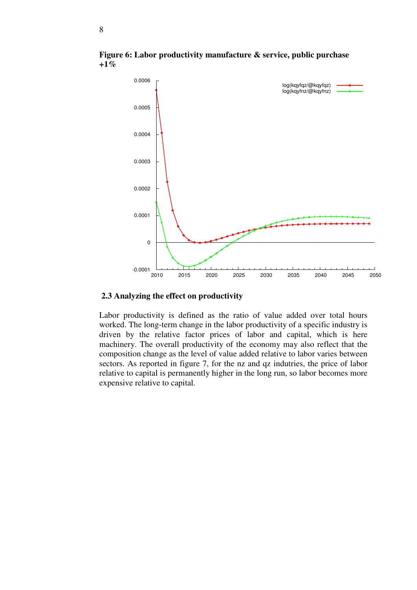

**Figure 6: Labor productivity manufacture & service, public purchase +1%** 

### **2.3 Analyzing the effect on productivity**

Labor productivity is defined as the ratio of value added over total hours worked. The long-term change in the labor productivity of a specific industry is driven by the relative factor prices of labor and capital, which is here machinery. The overall productivity of the economy may also reflect that the composition change as the level of value added relative to labor varies between sectors. As reported in figure 7, for the nz and qz indutries, the price of labor relative to capital is permanently higher in the long run, so labor becomes more expensive relative to capital.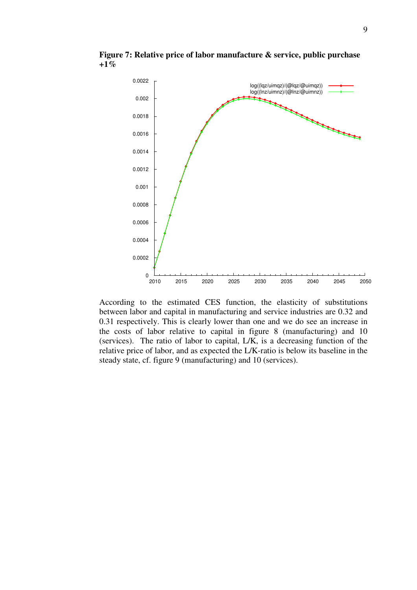

**Figure 7: Relative price of labor manufacture & service, public purchase +1%**

According to the estimated CES function, the elasticity of substitutions between labor and capital in manufacturing and service industries are 0.32 and 0.31 respectively. This is clearly lower than one and we do see an increase in the costs of labor relative to capital in figure 8 (manufacturing) and 10 (services). The ratio of labor to capital, L/K, is a decreasing function of the relative price of labor, and as expected the L/K-ratio is below its baseline in the steady state, cf. figure 9 (manufacturing) and 10 (services).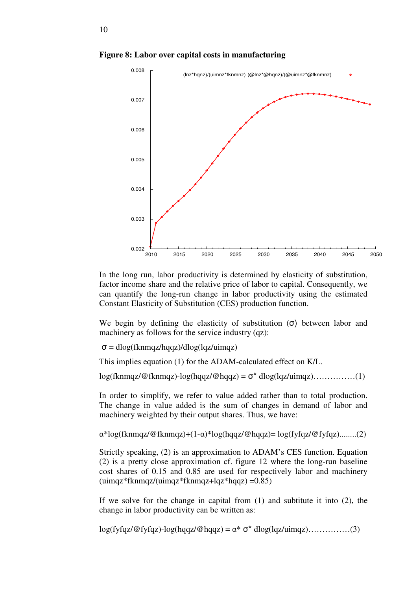

**Figure 8: Labor over capital costs in manufacturing**

In the long run, labor productivity is determined by elasticity of substitution, factor income share and the relative price of labor to capital. Consequently, we can quantify the long-run change in labor productivity using the estimated Constant Elasticity of Substitution (CES) production function.

We begin by defining the elasticity of substitution  $(\sigma)$  between labor and machinery as follows for the service industry (qz):

σ = dlog(fknmqz/hqqz)/dlog(lqz/uimqz)

This implies equation (1) for the ADAM-calculated effect on K/L.

log(fknmqz/@fknmqz)-log(hqqz/@hqqz) = σ\* dlog(lqz/uimqz)……………(1)

In order to simplify, we refer to value added rather than to total production. The change in value added is the sum of changes in demand of labor and machinery weighted by their output shares. Thus, we have:

α\*log(fknmqz/@fknmqz)+(1-α)\*log(hqqz/@hqqz)= log(fyfqz/@fyfqz)........(2)

Strictly speaking, (2) is an approximation to ADAM's CES function. Equation (2) is a pretty close approximation cf. figure 12 where the long-run baseline cost shares of 0.15 and 0.85 are used for respectively labor and machinery (uimqz\*fknmqz/(uimqz\*fknmqz+lqz\*hqqz) =0.85)

If we solve for the change in capital from  $(1)$  and subtitute it into  $(2)$ , the change in labor productivity can be written as:

 $log(fyfqz/\mathcal{Q}fyfqz) - log(hqqz/\mathcal{Q}hqqz) = \alpha^* \sigma^* dlog(lqz/uingz) \dots \dots \dots \dots (3)$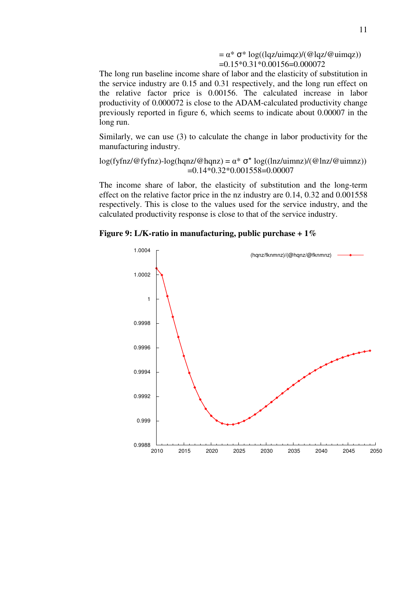$= \alpha^* \sigma^* \log((\text{lgz/uimqz})/(\text{Qlqz/Quimqz}))$  $=0.15*0.31*0.00156=0.000072$ 

The long run baseline income share of labor and the elasticity of substitution in the service industry are 0.15 and 0.31 respectively, and the long run effect on the relative factor price is 0.00156. The calculated increase in labor productivity of 0.000072 is close to the ADAM-calculated productivity change previously reported in figure 6, which seems to indicate about 0.00007 in the long run.

Similarly, we can use (3) to calculate the change in labor productivity for the manufacturing industry.

log(fyfnz/@fyfnz)-log(hqnz/@hqnz) =  $\alpha^* \sigma^*$  log((lnz/uimnz)/(@lnz/@uimnz))  $=0.14*0.32*0.001558=0.00007$ 

The income share of labor, the elasticity of substitution and the long-term effect on the relative factor price in the nz industry are 0.14, 0.32 and 0.001558 respectively. This is close to the values used for the service industry, and the calculated productivity response is close to that of the service industry.



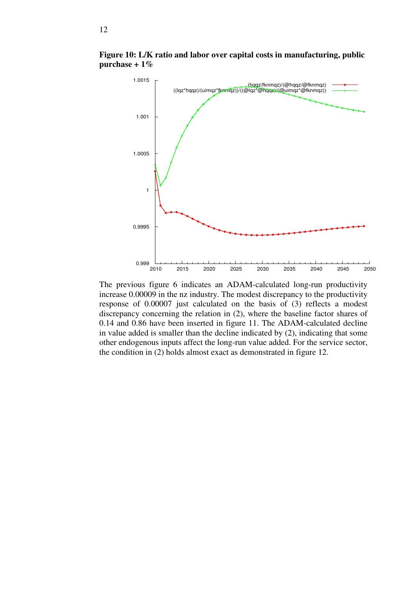

**Figure 10: L/K ratio and labor over capital costs in manufacturing, public purchase + 1%**

The previous figure 6 indicates an ADAM-calculated long-run productivity increase 0.00009 in the nz industry. The modest discrepancy to the productivity response of 0.00007 just calculated on the basis of (3) reflects a modest discrepancy concerning the relation in (2), where the baseline factor shares of 0.14 and 0.86 have been inserted in figure 11. The ADAM-calculated decline in value added is smaller than the decline indicated by (2), indicating that some other endogenous inputs affect the long-run value added. For the service sector, the condition in (2) holds almost exact as demonstrated in figure 12.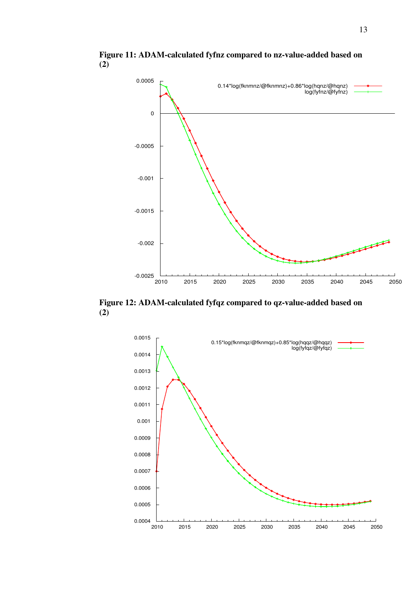

**Figure 11: ADAM-calculated fyfnz compared to nz-value-added based on (2)** 

**Figure 12: ADAM-calculated fyfqz compared to qz-value-added based on**   $(2)$ 

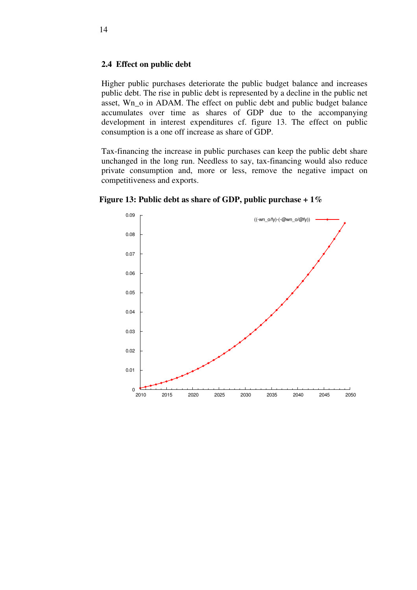#### **2.4 Effect on public debt**

Higher public purchases deteriorate the public budget balance and increases public debt. The rise in public debt is represented by a decline in the public net asset, Wn\_o in ADAM. The effect on public debt and public budget balance accumulates over time as shares of GDP due to the accompanying development in interest expenditures cf. figure 13. The effect on public consumption is a one off increase as share of GDP.

Tax-financing the increase in public purchases can keep the public debt share unchanged in the long run. Needless to say, tax-financing would also reduce private consumption and, more or less, remove the negative impact on competitiveness and exports.



**Figure 13: Public debt as share of GDP, public purchase + 1%**